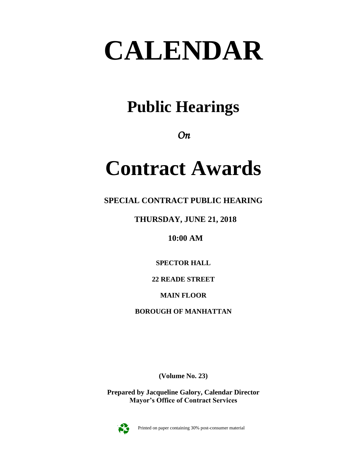# **CALENDAR**

# **Public Hearings**

*On* 

# **Contract Awards**

**SPECIAL CONTRACT PUBLIC HEARING**

**THURSDAY, JUNE 21, 2018**

**10:00 AM**

**SPECTOR HALL**

**22 READE STREET**

**MAIN FLOOR**

**BOROUGH OF MANHATTAN**

**(Volume No. 23)**

**Prepared by Jacqueline Galory, Calendar Director Mayor's Office of Contract Services**



Printed on paper containing 30% post-consumer material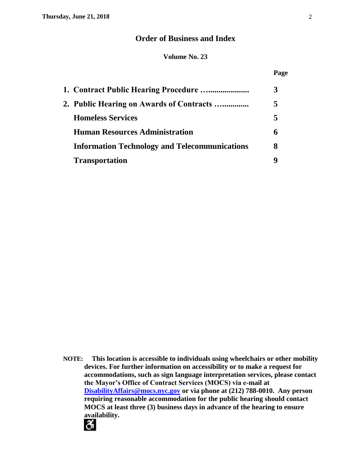# **Order of Business and Index**

#### **Volume No. 23**

#### **Page**

| 1. Contract Public Hearing Procedure                 |   |
|------------------------------------------------------|---|
| 2. Public Hearing on Awards of Contracts             | 5 |
| <b>Homeless Services</b>                             | 5 |
| <b>Human Resources Administration</b>                | h |
| <b>Information Technology and Telecommunications</b> | 8 |
| <b>Transportation</b>                                |   |

**NOTE: This location is accessible to individuals using wheelchairs or other mobility devices. For further information on accessibility or to make a request for accommodations, such as sign language interpretation services, please contact the Mayor's Office of Contract Services (MOCS) via e-mail at [DisabilityAffairs@mocs.nyc.gov](mailto:DisabilityAffairs@mocs.nyc.gov) or via phone at (212) 788-0010. Any person requiring reasonable accommodation for the public hearing should contact MOCS at least three (3) business days in advance of the hearing to ensure availability.**

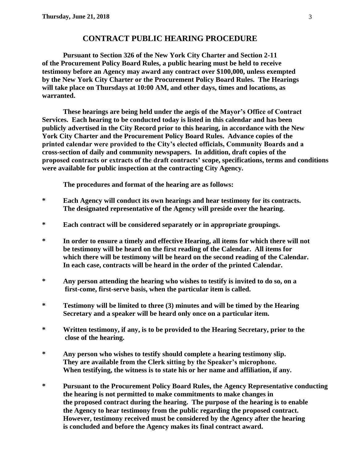# **CONTRACT PUBLIC HEARING PROCEDURE**

**Pursuant to Section 326 of the New York City Charter and Section 2-11 of the Procurement Policy Board Rules, a public hearing must be held to receive testimony before an Agency may award any contract over \$100,000, unless exempted by the New York City Charter or the Procurement Policy Board Rules. The Hearings will take place on Thursdays at 10:00 AM, and other days, times and locations, as warranted.**

**These hearings are being held under the aegis of the Mayor's Office of Contract Services. Each hearing to be conducted today is listed in this calendar and has been publicly advertised in the City Record prior to this hearing, in accordance with the New York City Charter and the Procurement Policy Board Rules. Advance copies of the printed calendar were provided to the City's elected officials, Community Boards and a cross-section of daily and community newspapers. In addition, draft copies of the proposed contracts or extracts of the draft contracts' scope, specifications, terms and conditions were available for public inspection at the contracting City Agency.**

**The procedures and format of the hearing are as follows:**

- **\* Each Agency will conduct its own hearings and hear testimony for its contracts. The designated representative of the Agency will preside over the hearing.**
- **\* Each contract will be considered separately or in appropriate groupings.**
- **\* In order to ensure a timely and effective Hearing, all items for which there will not be testimony will be heard on the first reading of the Calendar. All items for which there will be testimony will be heard on the second reading of the Calendar. In each case, contracts will be heard in the order of the printed Calendar.**
- **\* Any person attending the hearing who wishes to testify is invited to do so, on a first-come, first-serve basis, when the particular item is called.**
- **\* Testimony will be limited to three (3) minutes and will be timed by the Hearing Secretary and a speaker will be heard only once on a particular item.**
- **\* Written testimony, if any, is to be provided to the Hearing Secretary, prior to the close of the hearing.**
- **\* Any person who wishes to testify should complete a hearing testimony slip. They are available from the Clerk sitting by the Speaker's microphone. When testifying, the witness is to state his or her name and affiliation, if any.**
- **\* Pursuant to the Procurement Policy Board Rules, the Agency Representative conducting the hearing is not permitted to make commitments to make changes in the proposed contract during the hearing. The purpose of the hearing is to enable the Agency to hear testimony from the public regarding the proposed contract. However, testimony received must be considered by the Agency after the hearing is concluded and before the Agency makes its final contract award.**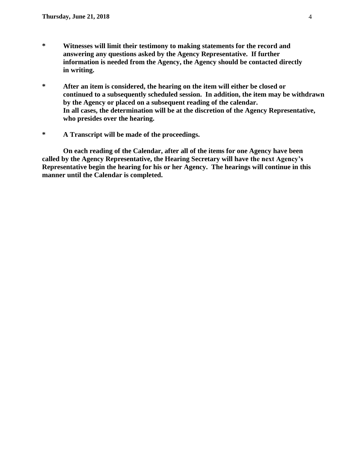- **\* Witnesses will limit their testimony to making statements for the record and answering any questions asked by the Agency Representative. If further information is needed from the Agency, the Agency should be contacted directly in writing.**
- **\* After an item is considered, the hearing on the item will either be closed or continued to a subsequently scheduled session. In addition, the item may be withdrawn by the Agency or placed on a subsequent reading of the calendar. In all cases, the determination will be at the discretion of the Agency Representative, who presides over the hearing.**
- **\* A Transcript will be made of the proceedings.**

**On each reading of the Calendar, after all of the items for one Agency have been called by the Agency Representative, the Hearing Secretary will have the next Agency's Representative begin the hearing for his or her Agency. The hearings will continue in this manner until the Calendar is completed.**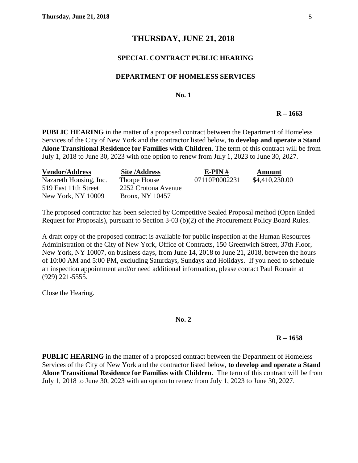# **THURSDAY, JUNE 21, 2018**

# **SPECIAL CONTRACT PUBLIC HEARING**

#### **DEPARTMENT OF HOMELESS SERVICES**

#### **No. 1**

#### **R – 1663**

**PUBLIC HEARING** in the matter of a proposed contract between the Department of Homeless Services of the City of New York and the contractor listed below, **to develop and operate a Stand Alone Transitional Residence for Families with Children**. The term of this contract will be from July 1, 2018 to June 30, 2023 with one option to renew from July 1, 2023 to June 30, 2027.

| <b>Vendor/Address</b>     | <b>Site/Address</b> | E-PIN#        | Amount         |
|---------------------------|---------------------|---------------|----------------|
| Nazareth Housing, Inc.    | Thorpe House        | 07110P0002231 | \$4,410,230.00 |
| 519 East 11th Street      | 2252 Crotona Avenue |               |                |
| <b>New York, NY 10009</b> | Bronx, NY 10457     |               |                |

The proposed contractor has been selected by Competitive Sealed Proposal method (Open Ended Request for Proposals), pursuant to Section 3-03 (b)(2) of the Procurement Policy Board Rules.

A draft copy of the proposed contract is available for public inspection at the Human Resources Administration of the City of New York, Office of Contracts, 150 Greenwich Street, 37th Floor, New York, NY 10007, on business days, from June 14, 2018 to June 21, 2018, between the hours of 10:00 AM and 5:00 PM, excluding Saturdays, Sundays and Holidays. If you need to schedule an inspection appointment and/or need additional information, please contact Paul Romain at (929) 221-5555.

Close the Hearing.

#### **No. 2**

#### **R – 1658**

**PUBLIC HEARING** in the matter of a proposed contract between the Department of Homeless Services of the City of New York and the contractor listed below, **to develop and operate a Stand Alone Transitional Residence for Families with Children**. The term of this contract will be from July 1, 2018 to June 30, 2023 with an option to renew from July 1, 2023 to June 30, 2027.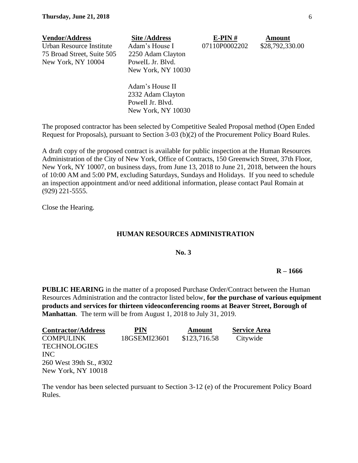| <b>Vendor/Address</b>      | <b>Site/Address</b> | $E-PIN#$      | <b>Amount</b>   |
|----------------------------|---------------------|---------------|-----------------|
| Urban Resource Institute   | Adam's House I      | 07110P0002202 | \$28,792,330.00 |
| 75 Broad Street, Suite 505 | 2250 Adam Clayton   |               |                 |
| New York, NY 10004         | PowelL Jr. Blvd.    |               |                 |
|                            | New York, NY 10030  |               |                 |
|                            | Adam's House II     |               |                 |

Adam's House II 2332 Adam Clayton Powell Jr. Blvd. New York, NY 10030

The proposed contractor has been selected by Competitive Sealed Proposal method (Open Ended Request for Proposals), pursuant to Section 3-03 (b)(2) of the Procurement Policy Board Rules.

A draft copy of the proposed contract is available for public inspection at the Human Resources Administration of the City of New York, Office of Contracts, 150 Greenwich Street, 37th Floor, New York, NY 10007, on business days, from June 13, 2018 to June 21, 2018, between the hours of 10:00 AM and 5:00 PM, excluding Saturdays, Sundays and Holidays. If you need to schedule an inspection appointment and/or need additional information, please contact Paul Romain at (929) 221-5555.

Close the Hearing.

#### **HUMAN RESOURCES ADMINISTRATION**

**No. 3**

**R – 1666**

**PUBLIC HEARING** in the matter of a proposed Purchase Order/Contract between the Human Resources Administration and the contractor listed below, **for the purchase of various equipment products and services for thirteen videoconferencing rooms at Beaver Street, Borough of Manhattan**. The term will be from August 1, 2018 to July 31, 2019.

| <b>Contractor/Address</b> | <b>PIN</b>   | Amount       | <b>Service Area</b> |
|---------------------------|--------------|--------------|---------------------|
| <b>COMPULINK</b>          | 18GSEMI23601 | \$123,716.58 | Citywide            |
| <b>TECHNOLOGIES</b>       |              |              |                     |
| <b>INC</b>                |              |              |                     |
| 260 West 39th St., #302   |              |              |                     |
| New York, NY 10018        |              |              |                     |

The vendor has been selected pursuant to Section 3-12 (e) of the Procurement Policy Board Rules.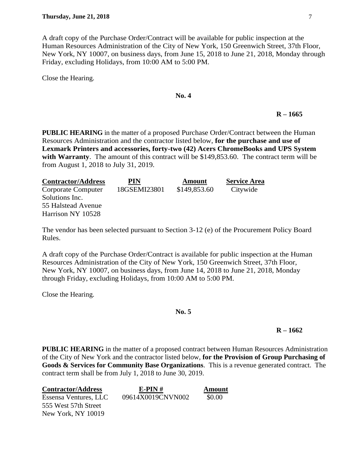A draft copy of the Purchase Order/Contract will be available for public inspection at the Human Resources Administration of the City of New York, 150 Greenwich Street, 37th Floor, New York, NY 10007, on business days, from June 15, 2018 to June 21, 2018, Monday through Friday, excluding Holidays, from 10:00 AM to 5:00 PM.

Close the Hearing.

#### **No. 4**

#### **R – 1665**

**PUBLIC HEARING** in the matter of a proposed Purchase Order/Contract between the Human Resources Administration and the contractor listed below, **for the purchase and use of Lexmark Printers and accessories, forty-two (42) Acers ChromeBooks and UPS System**  with Warranty. The amount of this contract will be \$149,853.60. The contract term will be from August 1, 2018 to July 31, 2019.

| <b>Contractor/Address</b> | PIN          | <b>Amount</b> | <b>Service Area</b> |
|---------------------------|--------------|---------------|---------------------|
| Corporate Computer        | 18GSEMI23801 | \$149,853.60  | Citywide            |
| Solutions Inc.            |              |               |                     |
| 55 Halstead Avenue        |              |               |                     |
| Harrison NY 10528         |              |               |                     |

The vendor has been selected pursuant to Section 3-12 (e) of the Procurement Policy Board Rules.

A draft copy of the Purchase Order/Contract is available for public inspection at the Human Resources Administration of the City of New York, 150 Greenwich Street, 37th Floor, New York, NY 10007, on business days, from June 14, 2018 to June 21, 2018, Monday through Friday, excluding Holidays, from 10:00 AM to 5:00 PM.

Close the Hearing.

#### **No. 5**

#### **R – 1662**

**PUBLIC HEARING** in the matter of a proposed contract between Human Resources Administration of the City of New York and the contractor listed below, **for the Provision of Group Purchasing of Goods & Services for Community Base Organizations**. This is a revenue generated contract. The contract term shall be from July 1, 2018 to June 30, 2019.

| <b>Contractor/Address</b> | $E-PIN#$          | Amount |
|---------------------------|-------------------|--------|
| Essensa Ventures, LLC     | 09614X0019CNVN002 | \$0.00 |
| 555 West 57th Street      |                   |        |
| New York, NY 10019        |                   |        |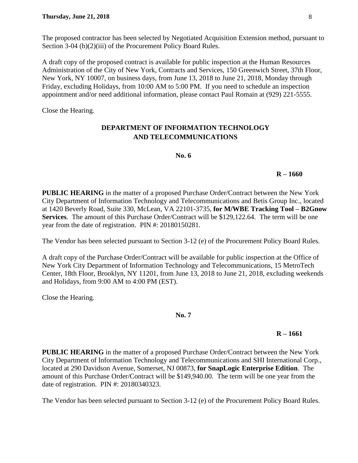The proposed contractor has been selected by Negotiated Acquisition Extension method, pursuant to Section 3-04 (b)(2)(iii) of the Procurement Policy Board Rules.

A draft copy of the proposed contract is available for public inspection at the Human Resources Administration of the City of New York, Contracts and Services, 150 Greenwich Street, 37th Floor, New York, NY 10007, on business days, from June 13, 2018 to June 21, 2018, Monday through Friday, excluding Holidays, from 10:00 AM to 5:00 PM. If you need to schedule an inspection appointment and/or need additional information, please contact Paul Romain at (929) 221-5555.

Close the Hearing.

# **DEPARTMENT OF INFORMATION TECHNOLOGY AND TELECOMMUNICATIONS**

**No. 6**

## **R – 1660**

**PUBLIC HEARING** in the matter of a proposed Purchase Order/Contract between the New York City Department of Information Technology and Telecommunications and Betis Group Inc., located at 1420 Beverly Road, Suite 330, McLean, VA 22101-3735, **for M/WBE Tracking Tool – B2Gnow Services**. The amount of this Purchase Order/Contract will be \$129,122.64. The term will be one year from the date of registration. PIN #: 20180150281.

The Vendor has been selected pursuant to Section 3-12 (e) of the Procurement Policy Board Rules.

A draft copy of the Purchase Order/Contract will be available for public inspection at the Office of New York City Department of Information Technology and Telecommunications, 15 MetroTech Center, 18th Floor, Brooklyn, NY 11201, from June 13, 2018 to June 21, 2018, excluding weekends and Holidays, from 9:00 AM to 4:00 PM (EST).

Close the Hearing.

**No. 7**

# **R – 1661**

**PUBLIC HEARING** in the matter of a proposed Purchase Order/Contract between the New York City Department of Information Technology and Telecommunications and SHI International Corp., located at 290 Davidson Avenue, Somerset, NJ 00873, **for SnapLogic Enterprise Edition**. The amount of this Purchase Order/Contract will be \$149,940.00. The term will be one year from the date of registration. PIN #: 20180340323.

The Vendor has been selected pursuant to Section 3-12 (e) of the Procurement Policy Board Rules.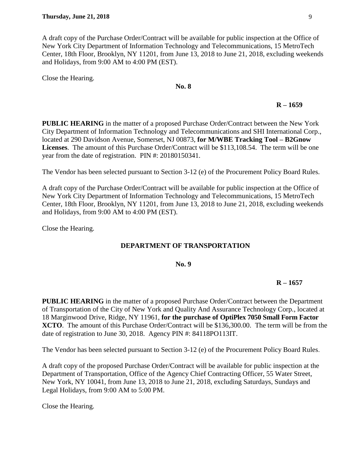A draft copy of the Purchase Order/Contract will be available for public inspection at the Office of New York City Department of Information Technology and Telecommunications, 15 MetroTech Center, 18th Floor, Brooklyn, NY 11201, from June 13, 2018 to June 21, 2018, excluding weekends and Holidays, from 9:00 AM to 4:00 PM (EST).

Close the Hearing.

#### **No. 8**

# **R – 1659**

**PUBLIC HEARING** in the matter of a proposed Purchase Order/Contract between the New York City Department of Information Technology and Telecommunications and SHI International Corp., located at 290 Davidson Avenue, Somerset, NJ 00873, **for M/WBE Tracking Tool – B2Gnow Licenses**. The amount of this Purchase Order/Contract will be \$113,108.54. The term will be one year from the date of registration. PIN #: 20180150341.

The Vendor has been selected pursuant to Section 3-12 (e) of the Procurement Policy Board Rules.

A draft copy of the Purchase Order/Contract will be available for public inspection at the Office of New York City Department of Information Technology and Telecommunications, 15 MetroTech Center, 18th Floor, Brooklyn, NY 11201, from June 13, 2018 to June 21, 2018, excluding weekends and Holidays, from 9:00 AM to 4:00 PM (EST).

Close the Hearing.

# **DEPARTMENT OF TRANSPORTATION**

**No. 9**

# **R – 1657**

**PUBLIC HEARING** in the matter of a proposed Purchase Order/Contract between the Department of Transportation of the City of New York and Quality And Assurance Technology Corp., located at 18 Marginwood Drive, Ridge, NY 11961, **for the purchase of OptiPlex 7050 Small Form Factor XCTO**. The amount of this Purchase Order/Contract will be \$136,300.00. The term will be from the date of registration to June 30, 2018. Agency PIN #: 84118PO113IT.

The Vendor has been selected pursuant to Section 3-12 (e) of the Procurement Policy Board Rules.

A draft copy of the proposed Purchase Order/Contract will be available for public inspection at the Department of Transportation, Office of the Agency Chief Contracting Officer, 55 Water Street, New York, NY 10041, from June 13, 2018 to June 21, 2018, excluding Saturdays, Sundays and Legal Holidays, from 9:00 AM to 5:00 PM.

Close the Hearing.